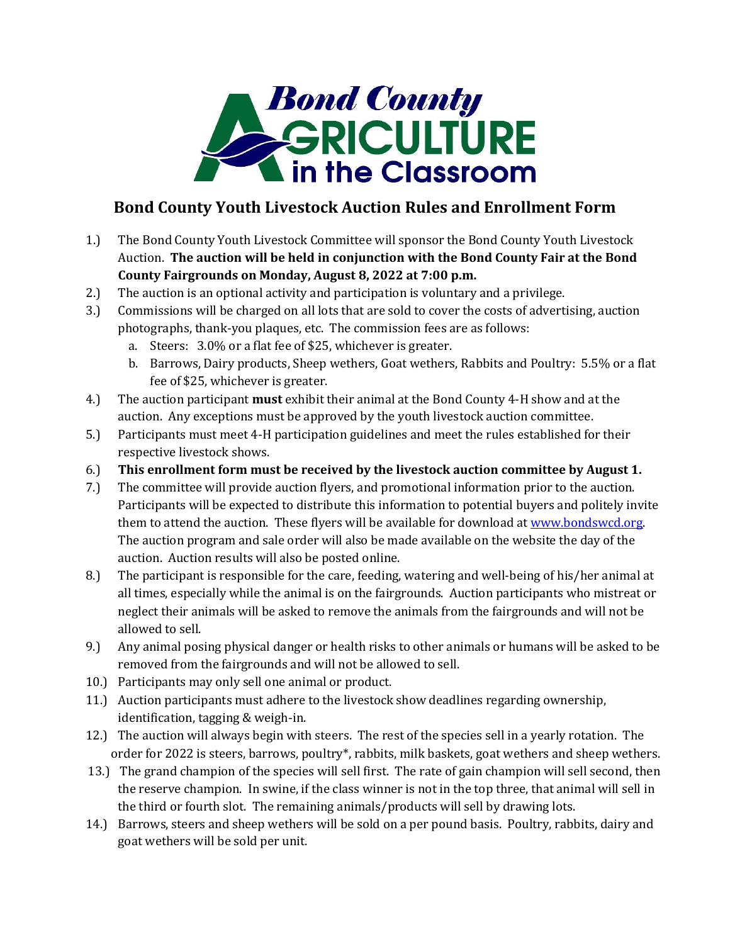

## **Bond County Youth Livestock Auction Rules and Enrollment Form**

- 1.) The Bond County Youth Livestock Committee will sponsor the Bond County Youth Livestock Auction. **The auction will be held in conjunction with the Bond County Fair at the Bond County Fairgrounds on Monday, August 8, 2022 at 7:00 p.m.**
- 2.) The auction is an optional activity and participation is voluntary and a privilege.
- 3.) Commissions will be charged on all lots that are sold to cover the costs of advertising, auction photographs, thank-you plaques, etc. The commission fees are as follows:
	- a. Steers: 3.0% or a flat fee of \$25, whichever is greater.
	- b. Barrows, Dairy products, Sheep wethers, Goat wethers, Rabbits and Poultry: 5.5% or a flat fee of \$25, whichever is greater.
- 4.) The auction participant **must** exhibit their animal at the Bond County 4-H show and at the auction. Any exceptions must be approved by the youth livestock auction committee.
- 5.) Participants must meet 4-H participation guidelines and meet the rules established for their respective livestock shows.
- 6.) **This enrollment form must be received by the livestock auction committee by August 1.**
- 7.) The committee will provide auction flyers, and promotional information prior to the auction. Participants will be expected to distribute this information to potential buyers and politely invite them to attend the auction. These flyers will be available for download at [www.bondswcd.org.](http://www.bondswcd.org/) The auction program and sale order will also be made available on the website the day of the auction. Auction results will also be posted online.
- 8.) The participant is responsible for the care, feeding, watering and well-being of his/her animal at all times, especially while the animal is on the fairgrounds. Auction participants who mistreat or neglect their animals will be asked to remove the animals from the fairgrounds and will not be allowed to sell.
- 9.) Any animal posing physical danger or health risks to other animals or humans will be asked to be removed from the fairgrounds and will not be allowed to sell.
- 10.) Participants may only sell one animal or product.
- 11.) Auction participants must adhere to the livestock show deadlines regarding ownership, identification, tagging & weigh-in.
- 12.) The auction will always begin with steers. The rest of the species sell in a yearly rotation. The order for 2022 is steers, barrows, poultry\*, rabbits, milk baskets, goat wethers and sheep wethers.
- 13.) The grand champion of the species will sell first. The rate of gain champion will sell second, then the reserve champion. In swine, if the class winner is not in the top three, that animal will sell in the third or fourth slot. The remaining animals/products will sell by drawing lots.
- 14.) Barrows, steers and sheep wethers will be sold on a per pound basis. Poultry, rabbits, dairy and goat wethers will be sold per unit.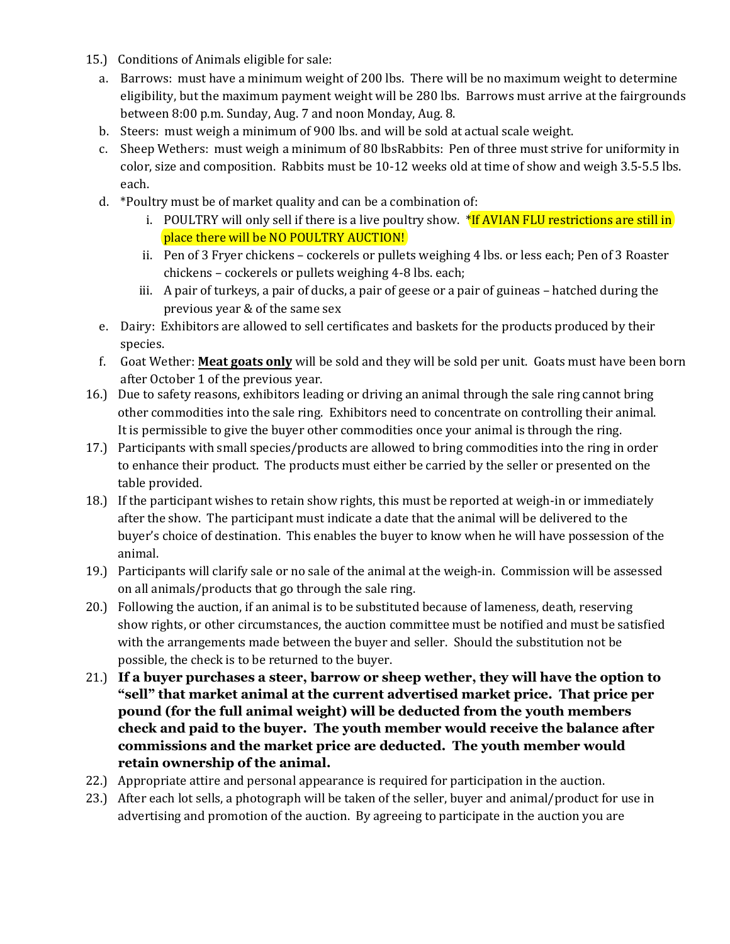- 15.) Conditions of Animals eligible for sale:
	- a. Barrows: must have a minimum weight of 200 lbs. There will be no maximum weight to determine eligibility, but the maximum payment weight will be 280 lbs. Barrows must arrive at the fairgrounds between 8:00 p.m. Sunday, Aug. 7 and noon Monday, Aug. 8.
	- b. Steers: must weigh a minimum of 900 lbs. and will be sold at actual scale weight.
	- c. Sheep Wethers: must weigh a minimum of 80 lbsRabbits: Pen of three must strive for uniformity in color, size and composition. Rabbits must be 10-12 weeks old at time of show and weigh 3.5-5.5 lbs. each.
	- d. \*Poultry must be of market quality and can be a combination of:
		- i. POULTRY will only sell if there is a live poultry show. \*If AVIAN FLU restrictions are still in place there will be NO POULTRY AUCTION!
		- ii. Pen of 3 Fryer chickens cockerels or pullets weighing 4 lbs. or less each; Pen of 3 Roaster chickens – cockerels or pullets weighing 4-8 lbs. each;
		- iii. A pair of turkeys, a pair of ducks, a pair of geese or a pair of guineas hatched during the previous year & of the same sex
	- e. Dairy: Exhibitors are allowed to sell certificates and baskets for the products produced by their species.
	- f. Goat Wether: **Meat goats only** will be sold and they will be sold per unit. Goats must have been born after October 1 of the previous year.
- 16.) Due to safety reasons, exhibitors leading or driving an animal through the sale ring cannot bring other commodities into the sale ring. Exhibitors need to concentrate on controlling their animal. It is permissible to give the buyer other commodities once your animal is through the ring.
- 17.) Participants with small species/products are allowed to bring commodities into the ring in order to enhance their product. The products must either be carried by the seller or presented on the table provided.
- 18.) If the participant wishes to retain show rights, this must be reported at weigh-in or immediately after the show. The participant must indicate a date that the animal will be delivered to the buyer's choice of destination. This enables the buyer to know when he will have possession of the animal.
- 19.) Participants will clarify sale or no sale of the animal at the weigh-in. Commission will be assessed on all animals/products that go through the sale ring.
- 20.) Following the auction, if an animal is to be substituted because of lameness, death, reserving show rights, or other circumstances, the auction committee must be notified and must be satisfied with the arrangements made between the buyer and seller. Should the substitution not be possible, the check is to be returned to the buyer.
- 21.) **If a buyer purchases a steer, barrow or sheep wether, they will have the option to "sell" that market animal at the current advertised market price. That price per pound (for the full animal weight) will be deducted from the youth members check and paid to the buyer. The youth member would receive the balance after commissions and the market price are deducted. The youth member would retain ownership of the animal.**
- 22.) Appropriate attire and personal appearance is required for participation in the auction.
- 23.) After each lot sells, a photograph will be taken of the seller, buyer and animal/product for use in advertising and promotion of the auction. By agreeing to participate in the auction you are